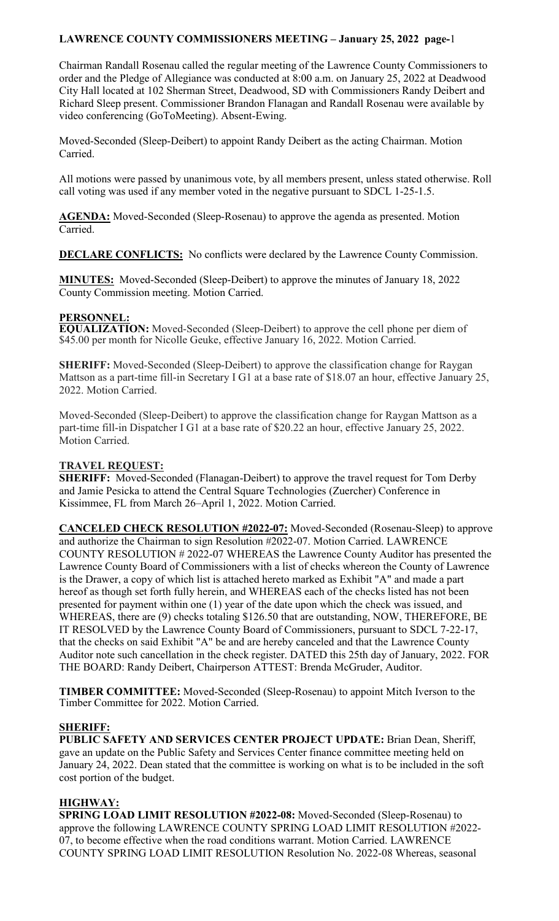Chairman Randall Rosenau called the regular meeting of the Lawrence County Commissioners to order and the Pledge of Allegiance was conducted at 8:00 a.m. on January 25, 2022 at Deadwood City Hall located at 102 Sherman Street, Deadwood, SD with Commissioners Randy Deibert and Richard Sleep present. Commissioner Brandon Flanagan and Randall Rosenau were available by video conferencing (GoToMeeting). Absent-Ewing.

Moved-Seconded (Sleep-Deibert) to appoint Randy Deibert as the acting Chairman. Motion Carried.

All motions were passed by unanimous vote, by all members present, unless stated otherwise. Roll call voting was used if any member voted in the negative pursuant to SDCL 1-25-1.5.

**AGENDA:** Moved-Seconded (Sleep-Rosenau) to approve the agenda as presented. Motion Carried.

**DECLARE CONFLICTS:** No conflicts were declared by the Lawrence County Commission.

**MINUTES:** Moved-Seconded (Sleep-Deibert) to approve the minutes of January 18, 2022 County Commission meeting. Motion Carried.

## **PERSONNEL:**

**EQUALIZATION:** Moved-Seconded (Sleep-Deibert) to approve the cell phone per diem of \$45.00 per month for Nicolle Geuke, effective January 16, 2022. Motion Carried.

**SHERIFF:** Moved-Seconded (Sleep-Deibert) to approve the classification change for Raygan Mattson as a part-time fill-in Secretary I G1 at a base rate of \$18.07 an hour, effective January 25, 2022. Motion Carried.

Moved-Seconded (Sleep-Deibert) to approve the classification change for Raygan Mattson as a part-time fill-in Dispatcher I G1 at a base rate of \$20.22 an hour, effective January 25, 2022. Motion Carried.

### **TRAVEL REQUEST:**

**SHERIFF:** Moved-Seconded (Flanagan-Deibert) to approve the travel request for Tom Derby and Jamie Pesicka to attend the Central Square Technologies (Zuercher) Conference in Kissimmee, FL from March 26–April 1, 2022. Motion Carried.

**CANCELED CHECK RESOLUTION #2022-07:** Moved-Seconded (Rosenau-Sleep) to approve and authorize the Chairman to sign Resolution #2022-07. Motion Carried. LAWRENCE COUNTY RESOLUTION # 2022-07 WHEREAS the Lawrence County Auditor has presented the Lawrence County Board of Commissioners with a list of checks whereon the County of Lawrence is the Drawer, a copy of which list is attached hereto marked as Exhibit "A" and made a part hereof as though set forth fully herein, and WHEREAS each of the checks listed has not been presented for payment within one (1) year of the date upon which the check was issued, and WHEREAS, there are (9) checks totaling \$126.50 that are outstanding, NOW, THEREFORE, BE IT RESOLVED by the Lawrence County Board of Commissioners, pursuant to SDCL 7-22-17, that the checks on said Exhibit "A" be and are hereby canceled and that the Lawrence County Auditor note such cancellation in the check register. DATED this 25th day of January, 2022. FOR THE BOARD: Randy Deibert, Chairperson ATTEST: Brenda McGruder, Auditor.

**TIMBER COMMITTEE:** Moved-Seconded (Sleep-Rosenau) to appoint Mitch Iverson to the Timber Committee for 2022. Motion Carried.

# **SHERIFF:**

**PUBLIC SAFETY AND SERVICES CENTER PROJECT UPDATE:** Brian Dean, Sheriff, gave an update on the Public Safety and Services Center finance committee meeting held on January 24, 2022. Dean stated that the committee is working on what is to be included in the soft cost portion of the budget.

# **HIGHWAY:**

**SPRING LOAD LIMIT RESOLUTION #2022-08:** Moved-Seconded (Sleep-Rosenau) to approve the following LAWRENCE COUNTY SPRING LOAD LIMIT RESOLUTION #2022- 07, to become effective when the road conditions warrant. Motion Carried. LAWRENCE COUNTY SPRING LOAD LIMIT RESOLUTION Resolution No. 2022-08 Whereas, seasonal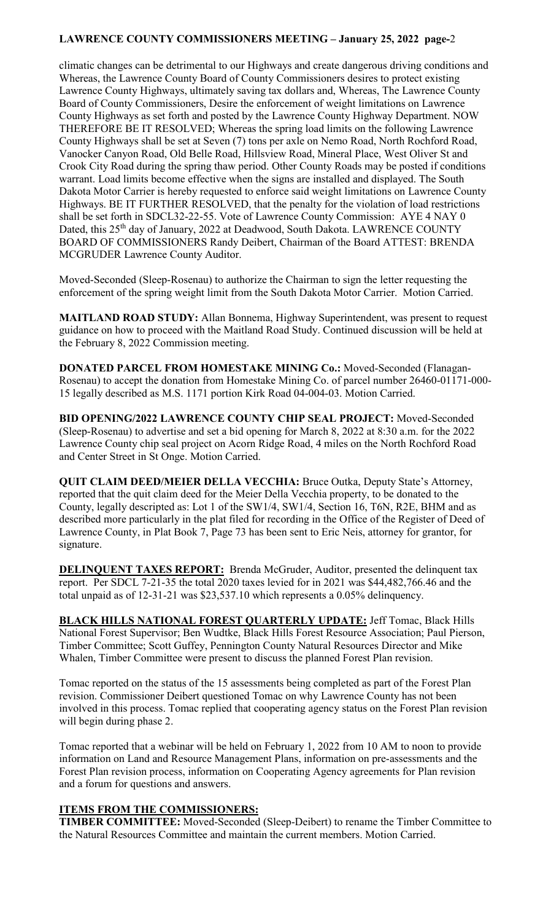climatic changes can be detrimental to our Highways and create dangerous driving conditions and Whereas, the Lawrence County Board of County Commissioners desires to protect existing Lawrence County Highways, ultimately saving tax dollars and, Whereas, The Lawrence County Board of County Commissioners, Desire the enforcement of weight limitations on Lawrence County Highways as set forth and posted by the Lawrence County Highway Department. NOW THEREFORE BE IT RESOLVED; Whereas the spring load limits on the following Lawrence County Highways shall be set at Seven (7) tons per axle on Nemo Road, North Rochford Road, Vanocker Canyon Road, Old Belle Road, Hillsview Road, Mineral Place, West Oliver St and Crook City Road during the spring thaw period. Other County Roads may be posted if conditions warrant. Load limits become effective when the signs are installed and displayed. The South Dakota Motor Carrier is hereby requested to enforce said weight limitations on Lawrence County Highways. BE IT FURTHER RESOLVED, that the penalty for the violation of load restrictions shall be set forth in SDCL32-22-55. Vote of Lawrence County Commission: AYE 4 NAY 0 Dated, this 25<sup>th</sup> day of January, 2022 at Deadwood, South Dakota. LAWRENCE COUNTY BOARD OF COMMISSIONERS Randy Deibert, Chairman of the Board ATTEST: BRENDA MCGRUDER Lawrence County Auditor.

Moved-Seconded (Sleep-Rosenau) to authorize the Chairman to sign the letter requesting the enforcement of the spring weight limit from the South Dakota Motor Carrier. Motion Carried.

**MAITLAND ROAD STUDY:** Allan Bonnema, Highway Superintendent, was present to request guidance on how to proceed with the Maitland Road Study. Continued discussion will be held at the February 8, 2022 Commission meeting.

**DONATED PARCEL FROM HOMESTAKE MINING Co.:** Moved-Seconded (Flanagan-Rosenau) to accept the donation from Homestake Mining Co. of parcel number 26460-01171-000- 15 legally described as M.S. 1171 portion Kirk Road 04-004-03. Motion Carried.

**BID OPENING/2022 LAWRENCE COUNTY CHIP SEAL PROJECT:** Moved-Seconded (Sleep-Rosenau) to advertise and set a bid opening for March 8, 2022 at 8:30 a.m. for the 2022 Lawrence County chip seal project on Acorn Ridge Road, 4 miles on the North Rochford Road and Center Street in St Onge. Motion Carried.

**QUIT CLAIM DEED/MEIER DELLA VECCHIA:** Bruce Outka, Deputy State's Attorney, reported that the quit claim deed for the Meier Della Vecchia property, to be donated to the County, legally descripted as: Lot 1 of the SW1/4, SW1/4, Section 16, T6N, R2E, BHM and as described more particularly in the plat filed for recording in the Office of the Register of Deed of Lawrence County, in Plat Book 7, Page 73 has been sent to Eric Neis, attorney for grantor, for signature.

**DELINQUENT TAXES REPORT:** Brenda McGruder, Auditor, presented the delinquent tax report. Per SDCL 7-21-35 the total 2020 taxes levied for in 2021 was \$44,482,766.46 and the total unpaid as of 12-31-21 was \$23,537.10 which represents a 0.05% delinquency.

**BLACK HILLS NATIONAL FOREST QUARTERLY UPDATE:** Jeff Tomac, Black Hills National Forest Supervisor; Ben Wudtke, Black Hills Forest Resource Association; Paul Pierson, Timber Committee; Scott Guffey, Pennington County Natural Resources Director and Mike Whalen, Timber Committee were present to discuss the planned Forest Plan revision.

Tomac reported on the status of the 15 assessments being completed as part of the Forest Plan revision. Commissioner Deibert questioned Tomac on why Lawrence County has not been involved in this process. Tomac replied that cooperating agency status on the Forest Plan revision will begin during phase 2.

Tomac reported that a webinar will be held on February 1, 2022 from 10 AM to noon to provide information on Land and Resource Management Plans, information on pre-assessments and the Forest Plan revision process, information on Cooperating Agency agreements for Plan revision and a forum for questions and answers.

#### **ITEMS FROM THE COMMISSIONERS:**

**TIMBER COMMITTEE:** Moved-Seconded (Sleep-Deibert) to rename the Timber Committee to the Natural Resources Committee and maintain the current members. Motion Carried.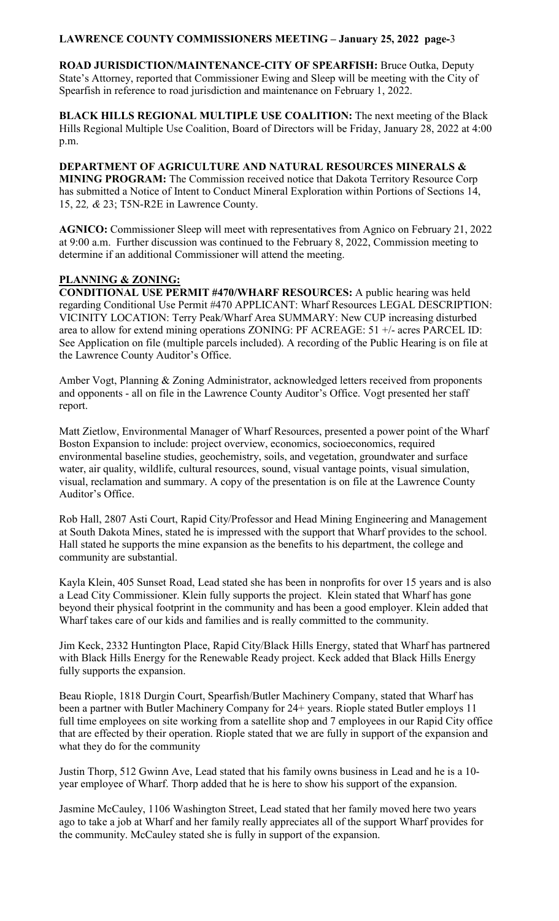**ROAD JURISDICTION/MAINTENANCE-CITY OF SPEARFISH:** Bruce Outka, Deputy State's Attorney, reported that Commissioner Ewing and Sleep will be meeting with the City of Spearfish in reference to road jurisdiction and maintenance on February 1, 2022.

**BLACK HILLS REGIONAL MULTIPLE USE COALITION:** The next meeting of the Black Hills Regional Multiple Use Coalition, Board of Directors will be Friday, January 28, 2022 at 4:00 p.m.

**DEPARTMENT OF AGRICULTURE AND NATURAL RESOURCES MINERALS & MINING PROGRAM:** The Commission received notice that Dakota Territory Resource Corp has submitted a Notice of Intent to Conduct Mineral Exploration within Portions of Sections 14, 15, 22*, &* 23; T5N-R2E in Lawrence County.

**AGNICO:** Commissioner Sleep will meet with representatives from Agnico on February 21, 2022 at 9:00 a.m. Further discussion was continued to the February 8, 2022, Commission meeting to determine if an additional Commissioner will attend the meeting.

# **PLANNING & ZONING:**

**CONDITIONAL USE PERMIT #470/WHARF RESOURCES:** A public hearing was held regarding Conditional Use Permit #470 APPLICANT: Wharf Resources LEGAL DESCRIPTION: VICINITY LOCATION: Terry Peak/Wharf Area SUMMARY: New CUP increasing disturbed area to allow for extend mining operations ZONING: PF ACREAGE: 51 +/- acres PARCEL ID: See Application on file (multiple parcels included). A recording of the Public Hearing is on file at the Lawrence County Auditor's Office.

Amber Vogt, Planning & Zoning Administrator, acknowledged letters received from proponents and opponents - all on file in the Lawrence County Auditor's Office. Vogt presented her staff report.

Matt Zietlow, Environmental Manager of Wharf Resources, presented a power point of the Wharf Boston Expansion to include: project overview, economics, socioeconomics, required environmental baseline studies, geochemistry, soils, and vegetation, groundwater and surface water, air quality, wildlife, cultural resources, sound, visual vantage points, visual simulation, visual, reclamation and summary. A copy of the presentation is on file at the Lawrence County Auditor's Office.

Rob Hall, 2807 Asti Court, Rapid City/Professor and Head Mining Engineering and Management at South Dakota Mines, stated he is impressed with the support that Wharf provides to the school. Hall stated he supports the mine expansion as the benefits to his department, the college and community are substantial.

Kayla Klein, 405 Sunset Road, Lead stated she has been in nonprofits for over 15 years and is also a Lead City Commissioner. Klein fully supports the project. Klein stated that Wharf has gone beyond their physical footprint in the community and has been a good employer. Klein added that Wharf takes care of our kids and families and is really committed to the community.

Jim Keck, 2332 Huntington Place, Rapid City/Black Hills Energy, stated that Wharf has partnered with Black Hills Energy for the Renewable Ready project. Keck added that Black Hills Energy fully supports the expansion.

Beau Riople, 1818 Durgin Court, Spearfish/Butler Machinery Company, stated that Wharf has been a partner with Butler Machinery Company for 24+ years. Riople stated Butler employs 11 full time employees on site working from a satellite shop and 7 employees in our Rapid City office that are effected by their operation. Riople stated that we are fully in support of the expansion and what they do for the community

Justin Thorp, 512 Gwinn Ave, Lead stated that his family owns business in Lead and he is a 10 year employee of Wharf. Thorp added that he is here to show his support of the expansion.

Jasmine McCauley, 1106 Washington Street, Lead stated that her family moved here two years ago to take a job at Wharf and her family really appreciates all of the support Wharf provides for the community. McCauley stated she is fully in support of the expansion.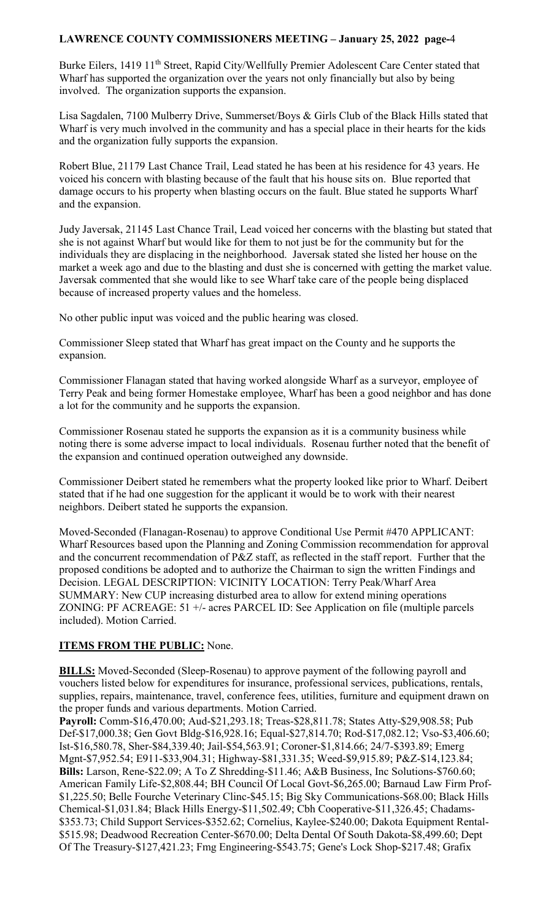Burke Eilers, 1419 11<sup>th</sup> Street, Rapid City/Wellfully Premier Adolescent Care Center stated that Wharf has supported the organization over the years not only financially but also by being involved. The organization supports the expansion.

Lisa Sagdalen, 7100 Mulberry Drive, Summerset/Boys & Girls Club of the Black Hills stated that Wharf is very much involved in the community and has a special place in their hearts for the kids and the organization fully supports the expansion.

Robert Blue, 21179 Last Chance Trail, Lead stated he has been at his residence for 43 years. He voiced his concern with blasting because of the fault that his house sits on. Blue reported that damage occurs to his property when blasting occurs on the fault. Blue stated he supports Wharf and the expansion.

Judy Javersak, 21145 Last Chance Trail, Lead voiced her concerns with the blasting but stated that she is not against Wharf but would like for them to not just be for the community but for the individuals they are displacing in the neighborhood. Javersak stated she listed her house on the market a week ago and due to the blasting and dust she is concerned with getting the market value. Javersak commented that she would like to see Wharf take care of the people being displaced because of increased property values and the homeless.

No other public input was voiced and the public hearing was closed.

Commissioner Sleep stated that Wharf has great impact on the County and he supports the expansion.

Commissioner Flanagan stated that having worked alongside Wharf as a surveyor, employee of Terry Peak and being former Homestake employee, Wharf has been a good neighbor and has done a lot for the community and he supports the expansion.

Commissioner Rosenau stated he supports the expansion as it is a community business while noting there is some adverse impact to local individuals. Rosenau further noted that the benefit of the expansion and continued operation outweighed any downside.

Commissioner Deibert stated he remembers what the property looked like prior to Wharf. Deibert stated that if he had one suggestion for the applicant it would be to work with their nearest neighbors. Deibert stated he supports the expansion.

Moved-Seconded (Flanagan-Rosenau) to approve Conditional Use Permit #470 APPLICANT: Wharf Resources based upon the Planning and Zoning Commission recommendation for approval and the concurrent recommendation of P&Z staff, as reflected in the staff report. Further that the proposed conditions be adopted and to authorize the Chairman to sign the written Findings and Decision. LEGAL DESCRIPTION: VICINITY LOCATION: Terry Peak/Wharf Area SUMMARY: New CUP increasing disturbed area to allow for extend mining operations ZONING: PF ACREAGE: 51 +/- acres PARCEL ID: See Application on file (multiple parcels included). Motion Carried.

# **ITEMS FROM THE PUBLIC:** None.

**BILLS:** Moved-Seconded (Sleep-Rosenau) to approve payment of the following payroll and vouchers listed below for expenditures for insurance, professional services, publications, rentals, supplies, repairs, maintenance, travel, conference fees, utilities, furniture and equipment drawn on the proper funds and various departments. Motion Carried.

**Payroll:** Comm-\$16,470.00; Aud-\$21,293.18; Treas-\$28,811.78; States Atty-\$29,908.58; Pub Def-\$17,000.38; Gen Govt Bldg-\$16,928.16; Equal-\$27,814.70; Rod-\$17,082.12; Vso-\$3,406.60; Ist-\$16,580.78, Sher-\$84,339.40; Jail-\$54,563.91; Coroner-\$1,814.66; 24/7-\$393.89; Emerg Mgnt-\$7,952.54; E911-\$33,904.31; Highway-\$81,331.35; Weed-\$9,915.89; P&Z-\$14,123.84; **Bills:** Larson, Rene-\$22.09; A To Z Shredding-\$11.46; A&B Business, Inc Solutions-\$760.60; American Family Life-\$2,808.44; BH Council Of Local Govt-\$6,265.00; Barnaud Law Firm Prof- \$1,225.50; Belle Fourche Veterinary Clinc-\$45.15; Big Sky Communications-\$68.00; Black Hills Chemical-\$1,031.84; Black Hills Energy-\$11,502.49; Cbh Cooperative-\$11,326.45; Chadams- \$353.73; Child Support Services-\$352.62; Cornelius, Kaylee-\$240.00; Dakota Equipment Rental- \$515.98; Deadwood Recreation Center-\$670.00; Delta Dental Of South Dakota-\$8,499.60; Dept Of The Treasury-\$127,421.23; Fmg Engineering-\$543.75; Gene's Lock Shop-\$217.48; Grafix